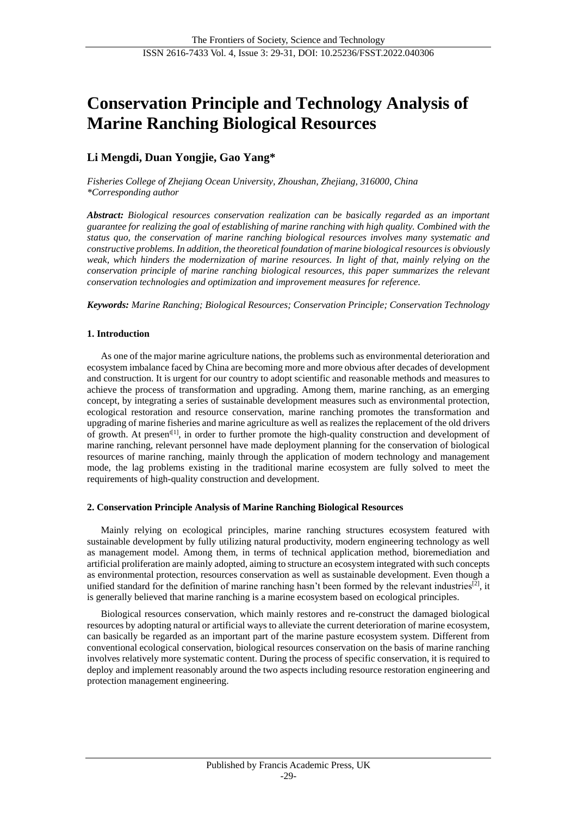# **Conservation Principle and Technology Analysis of Marine Ranching Biological Resources**

# **Li Mengdi, Duan Yongjie, Gao Yang\***

*Fisheries College of Zhejiang Ocean University, Zhoushan, Zhejiang, 316000, China \*Corresponding author*

*Abstract: Biological resources conservation realization can be basically regarded as an important guarantee for realizing the goal of establishing of marine ranching with high quality. Combined with the status quo, the conservation of marine ranching biological resources involves many systematic and constructive problems. In addition, the theoretical foundation of marine biological resources is obviously weak, which hinders the modernization of marine resources. In light of that, mainly relying on the conservation principle of marine ranching biological resources, this paper summarizes the relevant conservation technologies and optimization and improvement measures for reference.*

*Keywords: Marine Ranching; Biological Resources; Conservation Principle; Conservation Technology*

# **1. Introduction**

As one of the major marine agriculture nations, the problems such as environmental deterioration and ecosystem imbalance faced by China are becoming more and more obvious after decades of development and construction. It is urgent for our country to adopt scientific and reasonable methods and measures to achieve the process of transformation and upgrading. Among them, marine ranching, as an emerging concept, by integrating a series of sustainable development measures such as environmental protection, ecological restoration and resource conservation, marine ranching promotes the transformation and upgrading of marine fisheries and marine agriculture as well as realizes the replacement of the old drivers of growth. At presen<sup>t[1]</sup>, in order to further promote the high-quality construction and development of marine ranching, relevant personnel have made deployment planning for the conservation of biological resources of marine ranching, mainly through the application of modern technology and management mode, the lag problems existing in the traditional marine ecosystem are fully solved to meet the requirements of high-quality construction and development.

# **2. Conservation Principle Analysis of Marine Ranching Biological Resources**

Mainly relying on ecological principles, marine ranching structures ecosystem featured with sustainable development by fully utilizing natural productivity, modern engineering technology as well as management model. Among them, in terms of technical application method, bioremediation and artificial proliferation are mainly adopted, aiming to structure an ecosystem integrated with such concepts as environmental protection, resources conservation as well as sustainable development. Even though a unified standard for the definition of marine ranching hasn't been formed by the relevant industries<sup>[2]</sup>, it is generally believed that marine ranching is a marine ecosystem based on ecological principles.

Biological resources conservation, which mainly restores and re-construct the damaged biological resources by adopting natural or artificial ways to alleviate the current deterioration of marine ecosystem, can basically be regarded as an important part of the marine pasture ecosystem system. Different from conventional ecological conservation, biological resources conservation on the basis of marine ranching involves relatively more systematic content. During the process of specific conservation, it is required to deploy and implement reasonably around the two aspects including resource restoration engineering and protection management engineering.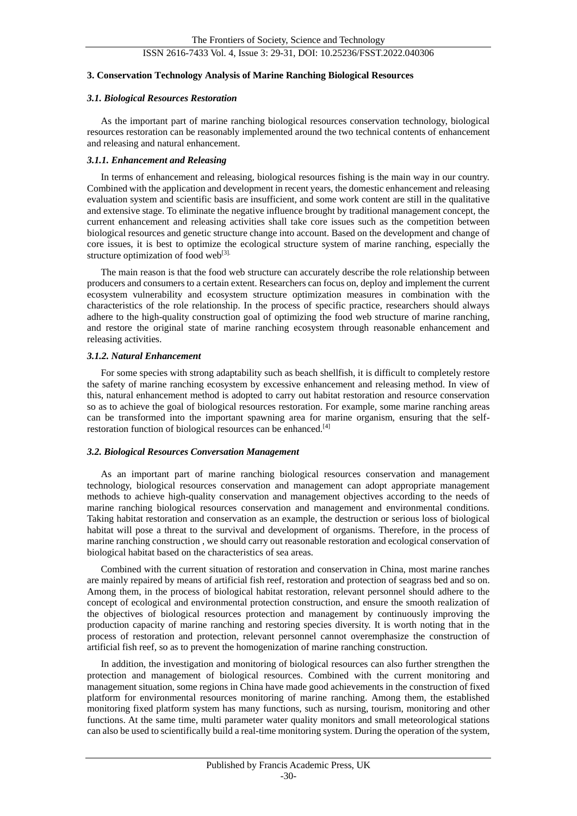# ISSN 2616-7433 Vol. 4, Issue 3: 29-31, DOI: 10.25236/FSST.2022.040306

#### **3. Conservation Technology Analysis of Marine Ranching Biological Resources**

#### *3.1. Biological Resources Restoration*

As the important part of marine ranching biological resources conservation technology, biological resources restoration can be reasonably implemented around the two technical contents of enhancement and releasing and natural enhancement.

#### *3.1.1. Enhancement and Releasing*

In terms of enhancement and releasing, biological resources fishing is the main way in our country. Combined with the application and development in recent years, the domestic enhancement and releasing evaluation system and scientific basis are insufficient, and some work content are still in the qualitative and extensive stage. To eliminate the negative influence brought by traditional management concept, the current enhancement and releasing activities shall take core issues such as the competition between biological resources and genetic structure change into account. Based on the development and change of core issues, it is best to optimize the ecological structure system of marine ranching, especially the structure optimization of food web<sup>[3].</sup>

The main reason is that the food web structure can accurately describe the role relationship between producers and consumers to a certain extent. Researchers can focus on, deploy and implement the current ecosystem vulnerability and ecosystem structure optimization measures in combination with the characteristics of the role relationship. In the process of specific practice, researchers should always adhere to the high-quality construction goal of optimizing the food web structure of marine ranching, and restore the original state of marine ranching ecosystem through reasonable enhancement and releasing activities.

#### *3.1.2. Natural Enhancement*

For some species with strong adaptability such as beach shellfish, it is difficult to completely restore the safety of marine ranching ecosystem by excessive enhancement and releasing method. In view of this, natural enhancement method is adopted to carry out habitat restoration and resource conservation so as to achieve the goal of biological resources restoration. For example, some marine ranching areas can be transformed into the important spawning area for marine organism, ensuring that the selfrestoration function of biological resources can be enhanced.[4]

#### *3.2. Biological Resources Conversation Management*

As an important part of marine ranching biological resources conservation and management technology, biological resources conservation and management can adopt appropriate management methods to achieve high-quality conservation and management objectives according to the needs of marine ranching biological resources conservation and management and environmental conditions. Taking habitat restoration and conservation as an example, the destruction or serious loss of biological habitat will pose a threat to the survival and development of organisms. Therefore, in the process of marine ranching construction , we should carry out reasonable restoration and ecological conservation of biological habitat based on the characteristics of sea areas.

Combined with the current situation of restoration and conservation in China, most marine ranches are mainly repaired by means of artificial fish reef, restoration and protection of seagrass bed and so on. Among them, in the process of biological habitat restoration, relevant personnel should adhere to the concept of ecological and environmental protection construction, and ensure the smooth realization of the objectives of biological resources protection and management by continuously improving the production capacity of marine ranching and restoring species diversity. It is worth noting that in the process of restoration and protection, relevant personnel cannot overemphasize the construction of artificial fish reef, so as to prevent the homogenization of marine ranching construction.

In addition, the investigation and monitoring of biological resources can also further strengthen the protection and management of biological resources. Combined with the current monitoring and management situation, some regions in China have made good achievements in the construction of fixed platform for environmental resources monitoring of marine ranching. Among them, the established monitoring fixed platform system has many functions, such as nursing, tourism, monitoring and other functions. At the same time, multi parameter water quality monitors and small meteorological stations can also be used to scientifically build a real-time monitoring system. During the operation of the system,